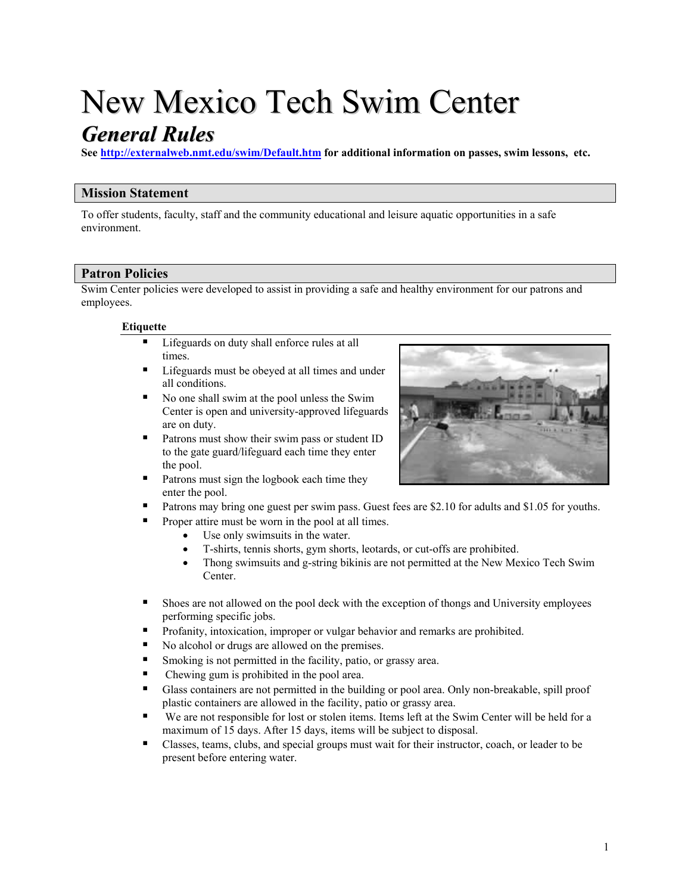# New Mexico Tech Swim Center

# *General Rules*

**See <http://externalweb.nmt.edu/swim/Default.htm>for additional information on passes, swim lessons, etc.** 

# **Mission Statement**

To offer students, faculty, staff and the community educational and leisure aquatic opportunities in a safe environment.

# **Patron Policies**

Swim Center policies were developed to assist in providing a safe and healthy environment for our patrons and employees.

## **Etiquette**

- Lifeguards on duty shall enforce rules at all times.
- Lifeguards must be obeyed at all times and under all conditions.
- $\blacksquare$ Center is open and university-approved lifeguards No one shall swim at the pool unless the Swim are on duty.
- . to the gate guard/lifeguard each time they enter Patrons must show their swim pass or student ID the pool.
- Patrons must sign the logbook each time they enter the pool.
- Patrons may bring one guest per swim pass. Guest fees are \$2.10 for adults and \$1.05 for youths.
- Proper attire must be worn in the pool at all times.
	- Use only swimsuits in the water.
	- T-shirts, tennis shorts, gym shorts, leotards, or cut-offs are prohibited.
	- Thong swimsuits and g-string bikinis are not permitted at the New Mexico Tech Swim Center.
- **Exercise 3** Shoes are not allowed on the pool deck with the exception of thongs and University employees performing specific jobs.
- **•** Profanity, intoxication, improper or vulgar behavior and remarks are prohibited.
- No alcohol or drugs are allowed on the premises.
- **Smoking is not permitted in the facility, patio, or grassy area.**
- Chewing gum is prohibited in the pool area.
- <sup>■</sup> Glass containers are not permitted in the building or pool area. Only non-breakable, spill proof plastic containers are allowed in the facility, patio or grassy area.
- " We are not responsible for lost or stolen items. Items left at the Swim Center will be held for a maximum of 15 days. After 15 days, items will be subject to disposal.
- <sup>■</sup> Classes, teams, clubs, and special groups must wait for their instructor, coach, or leader to be present before entering water.

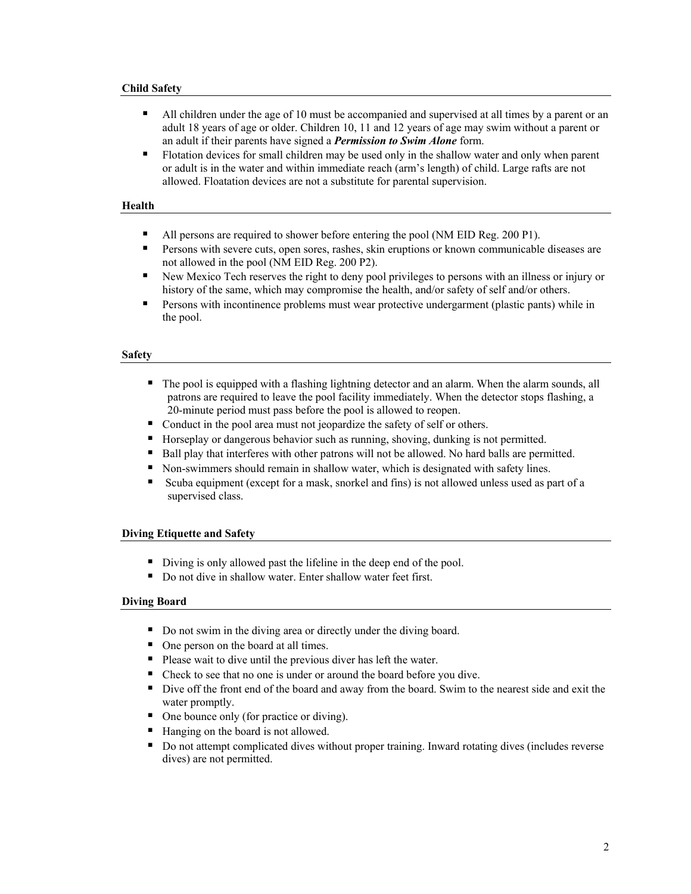#### **Child Safety**

- $\blacksquare$ adult 18 years of age or older. Children 10, 11 and 12 years of age may swim without a parent or All children under the age of 10 must be accompanied and supervised at all times by a parent or an an adult if their parents have signed a *Permission to Swim Alone* form.
- Intertation devices for small children may be used only in the shallow water and only when parent or adult is in the water and within immediate reach (arm's length) of child. Large rafts are not allowed. Floatation devices are not a substitute for parental supervision.

#### **Health**

- All persons are required to shower before entering the pool (NM EID Reg. 200 P1).
- **Persons with severe cuts, open sores, rashes, skin eruptions or known communicable diseases are** not allowed in the pool (NM EID Reg. 200 P2).
- Rew Mexico Tech reserves the right to deny pool privileges to persons with an illness or injury or history of the same, which may compromise the health, and/or safety of self and/or others.
- **•** Persons with incontinence problems must wear protective undergarment (plastic pants) while in the pool.

#### **Safety**

- The pool is equipped with a flashing lightning detector and an alarm. When the alarm sounds, all patrons are required to leave the pool facility immediately. When the detector stops flashing, a 20-minute period must pass before the pool is allowed to reopen.
- Conduct in the pool area must not jeopardize the safety of self or others.
- **Horseplay or dangerous behavior such as running, shoving, dunking is not permitted.**
- <sup>B</sup> Ball play that interferes with other patrons will not be allowed. No hard balls are permitted.
- Non-swimmers should remain in shallow water, which is designated with safety lines.
- <sup>■</sup> Scuba equipment (except for a mask, snorkel and fins) is not allowed unless used as part of a supervised class.

#### **Diving Etiquette and Safety**

- Diving is only allowed past the lifeline in the deep end of the pool.
- Do not dive in shallow water. Enter shallow water feet first.

#### **Diving Board**

- Do not swim in the diving area or directly under the diving board.
- One person on the board at all times.
- Please wait to dive until the previous diver has left the water.
- Check to see that no one is under or around the board before you dive.
- Dive off the front end of the board and away from the board. Swim to the nearest side and exit the water promptly.
- One bounce only (for practice or diving).
- Hanging on the board is not allowed.
- Do not attempt complicated dives without proper training. Inward rotating dives (includes reverse dives) are not permitted.